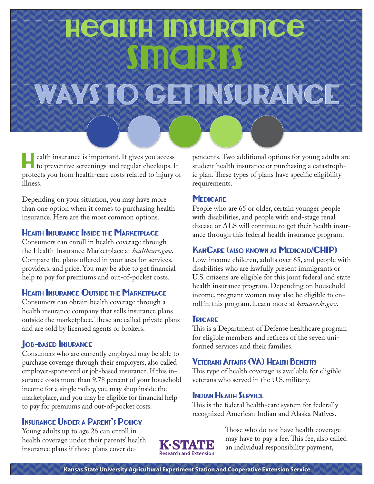# Health Insurance Smarts

# WAYS TO GET INSURANCE

Health insurance is important. It gives you access to preventive screenings and regular checkups. It protects you from health-care costs related to injury or illness.

Depending on your situation, you may have more than one option when it comes to purchasing health insurance. Here are the most common options.

#### Health Insurance Inside the Marketplace

Consumers can enroll in health coverage through the Health Insurance Marketplace at *healthcare.gov*. Compare the plans offered in your area for services, providers, and price. You may be able to get financial help to pay for premiums and out-of-pocket costs.

#### Health Insurance Outside the Marketplace

Consumers can obtain health coverage through a health insurance company that sells insurance plans outside the marketplace. These are called private plans and are sold by licensed agents or brokers.

## **JOB-BASED INSURANCE**

Consumers who are currently employed may be able to purchase coverage through their employers, also called employer-sponsored or job-based insurance. If this insurance costs more than 9.78 percent of your household income for a single policy, you may shop inside the marketplace, and you may be eligible for financial help to pay for premiums and out-of-pocket costs.

## Insurance Under a Parent's Policy

Young adults up to age 26 can enroll in health coverage under their parents' health insurance plans if those plans cover dependents. Two additional options for young adults are student health insurance or purchasing a catastrophic plan. These types of plans have specific eligibility requirements.

#### **MEDICARE**

People who are 65 or older, certain younger people with disabilities, and people with end-stage renal disease or ALS will continue to get their health insurance through this federal health insurance program.

#### KanCare (also known as Medicaid/CHIP)

Low-income children, adults over 65, and people with disabilities who are lawfully present immigrants or U.S. citizens are eligible for this joint federal and state health insurance program. Depending on household income, pregnant women may also be eligible to enroll in this program. Learn more at *kancare.ks.gov*.

#### **TRICARE**

This is a Department of Defense healthcare program for eligible members and retirees of the seven uniformed services and their families.

## Veterans Affairs (VA) Health Benefits

This type of health coverage is available for eligible veterans who served in the U.S. military.

#### Indian Health Service

This is the federal health-care system for federally recognized American Indian and Alaska Natives.



Those who do not have health coverage may have to pay a fee. This fee, also called an individual responsibility payment,